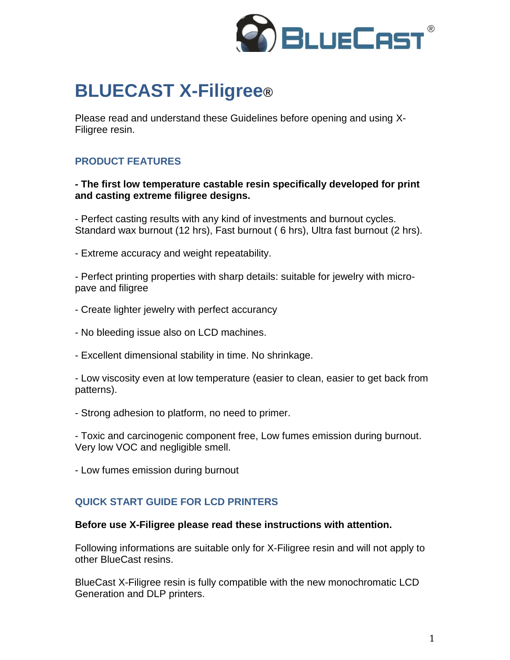

# **BLUECAST X-Filigree®**

Please read and understand these Guidelines before opening and using X-Filigree resin.

# **PRODUCT FEATURES**

**- The first low temperature castable resin specifically developed for print and casting extreme filigree designs.**

- Perfect casting results with any kind of investments and burnout cycles. Standard wax burnout (12 hrs), Fast burnout ( 6 hrs), Ultra fast burnout (2 hrs).

- Extreme accuracy and weight repeatability.

- Perfect printing properties with sharp details: suitable for jewelry with micropave and filigree

- Create lighter jewelry with perfect accurancy
- No bleeding issue also on LCD machines.
- Excellent dimensional stability in time. No shrinkage.

- Low viscosity even at low temperature (easier to clean, easier to get back from patterns).

- Strong adhesion to platform, no need to primer.

- Toxic and carcinogenic component free, Low fumes emission during burnout. Very low VOC and negligible smell.

- Low fumes emission during burnout

## **QUICK START GUIDE FOR LCD PRINTERS**

#### **Before use X-Filigree please read these instructions with attention.**

Following informations are suitable only for X-Filigree resin and will not apply to other BlueCast resins.

BlueCast X-Filigree resin is fully compatible with the new monochromatic LCD Generation and DLP printers.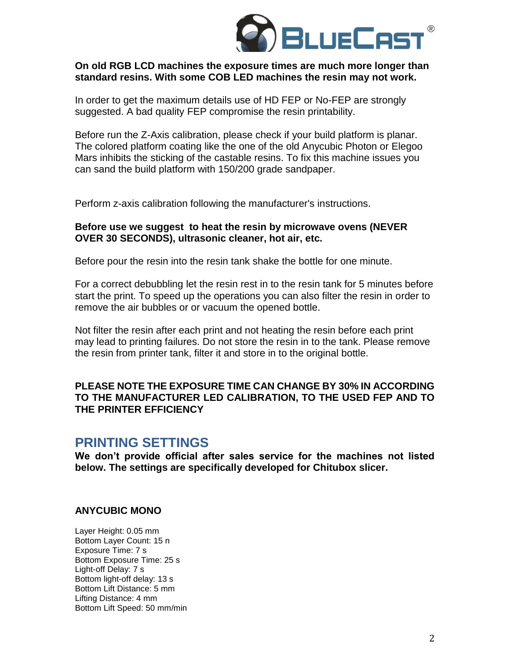

#### **On old RGB LCD machines the exposure times are much more longer than standard resins. With some COB LED machines the resin may not work.**

In order to get the maximum details use of HD FEP or No-FEP are strongly suggested. A bad quality FEP compromise the resin printability.

Before run the Z-Axis calibration, please check if your build platform is planar. The colored platform coating like the one of the old Anycubic Photon or Elegoo Mars inhibits the sticking of the castable resins. To fix this machine issues you can sand the build platform with 150/200 grade sandpaper.

Perform z-axis calibration following the manufacturer's instructions.

#### **Before use we suggest to heat the resin by microwave ovens (NEVER OVER 30 SECONDS), ultrasonic cleaner, hot air, etc.**

Before pour the resin into the resin tank shake the bottle for one minute.

For a correct debubbling let the resin rest in to the resin tank for 5 minutes before start the print. To speed up the operations you can also filter the resin in order to remove the air bubbles or or vacuum the opened bottle.

Not filter the resin after each print and not heating the resin before each print may lead to printing failures. Do not store the resin in to the tank. Please remove the resin from printer tank, filter it and store in to the original bottle.

#### **PLEASE NOTE THE EXPOSURE TIME CAN CHANGE BY 30% IN ACCORDING TO THE MANUFACTURER LED CALIBRATION, TO THE USED FEP AND TO THE PRINTER EFFICIENCY**

# **PRINTING SETTINGS**

**We don't provide official after sales service for the machines not listed below. The settings are specifically developed for Chitubox slicer.**

#### **ANYCUBIC MONO**

Layer Height: 0.05 mm Bottom Layer Count: 15 n Exposure Time: 7 s Bottom Exposure Time: 25 s Light-off Delay: 7 s Bottom light-off delay: 13 s Bottom Lift Distance: 5 mm Lifting Distance: 4 mm Bottom Lift Speed: 50 mm/min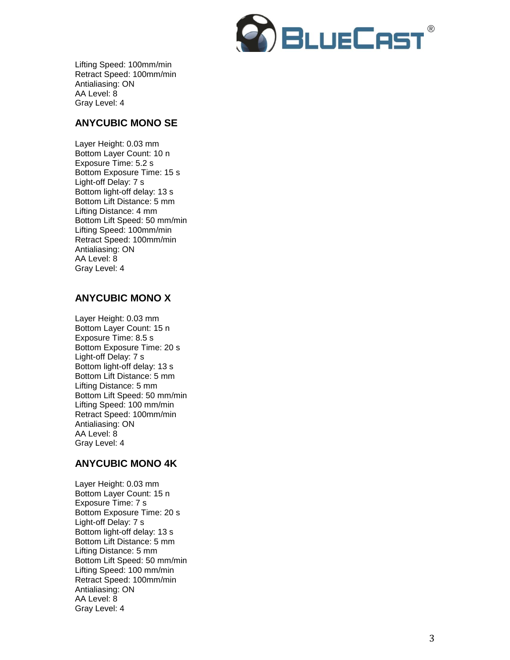

Lifting Speed: 100mm/min Retract Speed: 100mm/min Antialiasing: ON AA Level: 8 Gray Level: 4

#### **ANYCUBIC MONO SE**

Layer Height: 0.0 3 mm Bottom Layer Count: 1 0 n Exposure Time: 5.2 s Bottom Exposure Time: 15 s Light -off Delay: 7 s Bottom light -off delay: 13 s Bottom Lift Distance: 5 mm Lifting Distance: 4 mm Bottom Lift Speed: 50 mm/min Lifting Speed: 100mm/min Retract Speed: 100mm/min Antialiasing: ON AA Level: 8 Gray Level: 4

## **ANYCUBIC MONO X**

Layer Height: 0.0 3 mm Bottom Layer Count: 15 n Exposure Time: 8.5 s Bottom Exposure Time: 2 0 s Light -off Delay: 7 s Bottom light -off delay: 13 s Bottom Lift Distance: 5 mm Lifting Distance: 5 mm Bottom Lift Speed: 50 mm/min Lifting Speed: 100 mm/min Retract Speed: 100mm/min Antialiasing: ON AA Level: 8 Gray Level: 4

## **ANYCUBIC MONO 4K**

Layer Height: 0.0 3 mm Bottom Layer Count: 15 n Exposure Time: 7 s Bottom Exposure Time: 2 0 s Light -off Delay: 7 s Bottom light -off delay: 13 s Bottom Lift Distance: 5 mm Lifting Distance: 5 mm Bottom Lift Speed: 50 mm/min Lifting Speed: 100 mm/min Retract Speed: 100mm/min Antialiasing: ON AA Level: 8 Gray Level: 4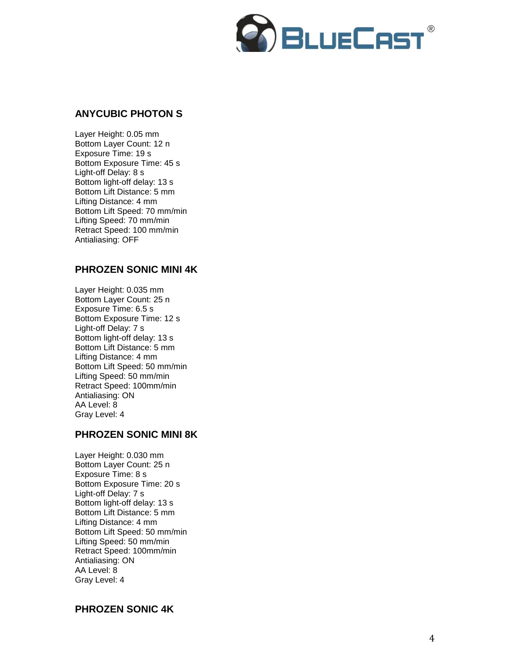

## **ANYCUBIC PHOTON S**

Layer Height: 0.0 5 mm Bottom Layer Count: 12 n Exposure Time: 19 s Bottom Exposure Time: 45 s Light -off Delay: 8 s Bottom light -off delay: 13 s Bottom Lift Distance: 5 mm Lifting Distance: 4 mm Bottom Lift Speed: 70 mm/min Lifting Speed: 70 mm/min Retract Speed: 100 mm/min Antialiasing: OFF

## **PHROZEN SONIC MINI 4K**

Layer Height: 0.035 mm Bottom Layer Count: 25 n Exposure Time: 6.5 s Bottom Exposure Time: 12 s Light -off Delay: 7 s Bottom light -off delay: 13 s Bottom Lift Distance: 5 mm Lifting Distance: 4 mm Bottom Lift Speed: 50 mm/min Lifting Speed: 50 mm/min Retract Speed: 100mm/min Antialiasing: ON AA Level: 8 Gray Level: 4

## **PHROZEN SONIC MINI 8K**

Layer Height: 0.030 mm Bottom Layer Count: 25 n Exposure Time: 8 s Bottom Exposure Time: 20 s Light -off Delay: 7 s Bottom light -off delay: 13 s Bottom Lift Distance: 5 mm Lifting Distance: 4 mm Bottom Lift Speed: 50 mm/min Lifting Speed: 50 mm/min Retract Speed: 100mm/min Antialiasing: ON AA Level: 8 Gray Level: 4

#### **PHROZEN SONIC 4K**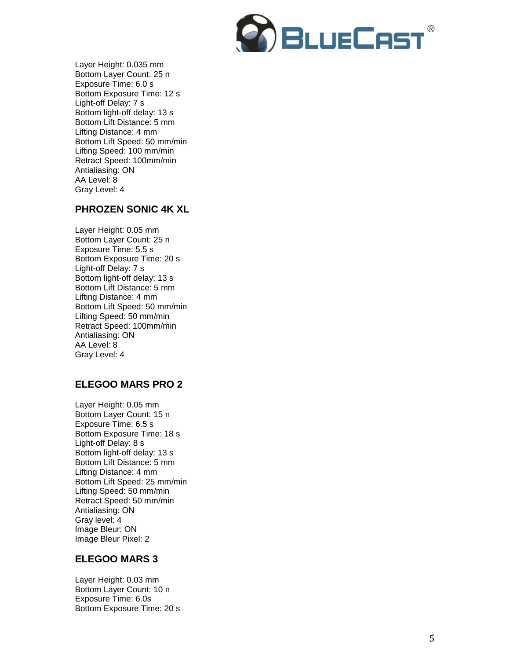

Layer Height: 0.035 mm Bottom Layer Count: 25 n Exposure Time: 6.0 s Bottom Exposure Time: 12 s Light -off Delay: 7 s Bottom light -off delay: 13 s Bottom Lift Distance: 5 mm Lifting Distance: 4 mm Bottom Lift Speed: 50 mm/min Lifting Speed: 100 mm/min Retract Speed: 100mm/min Antialiasing: ON AA Level: 8 Gray Level: 4

## **PHROZEN SONIC 4K XL**

Layer Height: 0.0 5 mm Bottom Layer Count: 25 n Exposure Time: 5 . 5 s Bottom Exposure Time: 20 s Light -off Delay: 7 s Bottom light -off delay: 13 s Bottom Lift Distance: 5 mm Lifting Distance: 4 mm Bottom Lift Speed: 50 mm/min Lifting Speed: 50 mm/min Retract Speed: 100mm/min Antialiasing: ON AA Level: 8 Gray Level: 4

## **ELEGOO MARS PRO 2**

Layer Height: 0.0 5 mm Bottom Layer Count: 15 n Exposure Time: 6.5 s Bottom Exposure Time: 18 s Light -off Delay: 8 s Bottom light -off delay: 13 s Bottom Lift Distance: 5 mm Lifting Distance: 4 mm Bottom Lift Speed: 25 mm/min Lifting Speed: 50 mm/min Retract Speed: 50 mm/min Antialiasing: ON Gray level: 4 Image Bleur: ON Image Bleur Pixel: 2

## **ELEGOO MARS 3**

Layer Height: 0.0 3 mm Bottom Layer Count: 10 n Exposure Time: 6.0 s Bottom Exposure Time: 20 s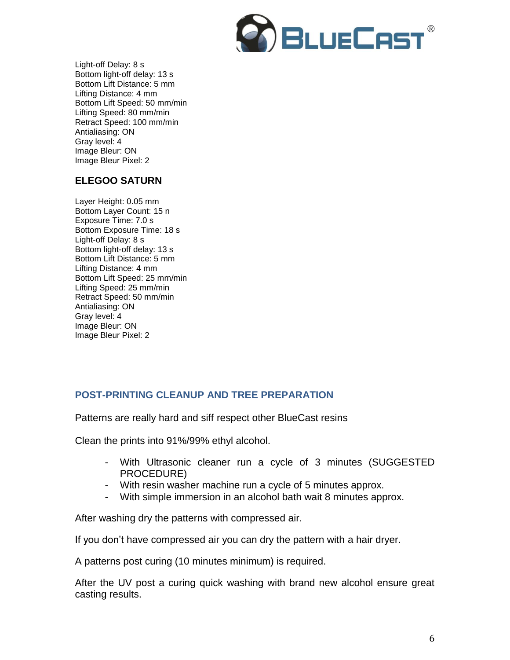

Light-off Delay: 8 s Bottom light-off delay: 13 s Bottom Lift Distance: 5 mm Lifting Distance: 4 mm Bottom Lift Speed: 50 mm/min Lifting Speed: 80 mm/min Retract Speed: 100 mm/min Antialiasing: ON Gray level: 4 Image Bleur: ON Image Bleur Pixel: 2

# **ELEGOO SATURN**

Layer Height: 0.05 mm Bottom Layer Count: 15 n Exposure Time: 7.0 s Bottom Exposure Time: 18 s Light-off Delay: 8 s Bottom light-off delay: 13 s Bottom Lift Distance: 5 mm Lifting Distance: 4 mm Bottom Lift Speed: 25 mm/min Lifting Speed: 25 mm/min Retract Speed: 50 mm/min Antialiasing: ON Gray level: 4 Image Bleur: ON Image Bleur Pixel: 2

# **POST-PRINTING CLEANUP AND TREE PREPARATION**

Patterns are really hard and siff respect other BlueCast resins

Clean the prints into 91%/99% ethyl alcohol.

- With Ultrasonic cleaner run a cycle of 3 minutes (SUGGESTED PROCEDURE)
- With resin washer machine run a cycle of 5 minutes approx.
- With simple [immersion](https://context.reverso.net/traduzione/inglese-italiano/by+immersion) in an alcohol bath wait 8 minutes approx.

After washing dry the patterns with compressed air.

If you don't have compressed air you can dry the pattern with a hair dryer.

A patterns post curing (10 minutes minimum) is required.

After the UV post a curing quick washing with brand new alcohol ensure great casting results.